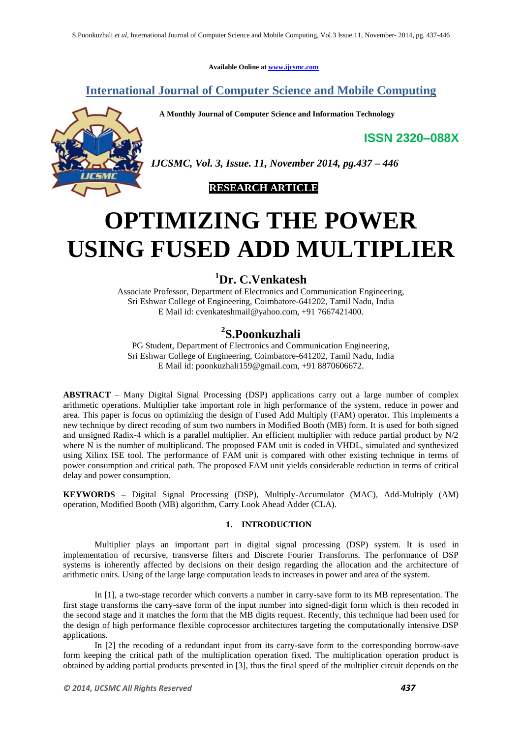**Available Online at www.ijcsmc.com**

**International Journal of Computer Science and Mobile Computing**

 **A Monthly Journal of Computer Science and Information Technology**

**ISSN 2320–088X**

*IJCSMC, Vol. 3, Issue. 11, November 2014, pg.437 – 446*



# **OPTIMIZING THE POWER USING FUSED ADD MULTIPLIER**

## **<sup>1</sup>Dr. C.Venkatesh**

Associate Professor, Department of Electronics and Communication Engineering, Sri Eshwar College of Engineering, Coimbatore-641202, Tamil Nadu, India E Mail id: cvenkateshmail@yahoo.com, +91 7667421400.

## **2 S.Poonkuzhali**

PG Student, Department of Electronics and Communication Engineering, Sri Eshwar College of Engineering, Coimbatore-641202, Tamil Nadu, India E Mail id: poonkuzhali159@gmail.com, +91 8870606672.

**ABSTRACT** – Many Digital Signal Processing (DSP) applications carry out a large number of complex arithmetic operations. Multiplier take important role in high performance of the system, reduce in power and area. This paper is focus on optimizing the design of Fused Add Multiply (FAM) operator. This implements a new technique by direct recoding of sum two numbers in Modified Booth (MB) form. It is used for both signed and unsigned Radix-4 which is a parallel multiplier. An efficient multiplier with reduce partial product by N/2 where N is the number of multiplicand. The proposed FAM unit is coded in VHDL, simulated and synthesized using Xilinx ISE tool. The performance of FAM unit is compared with other existing technique in terms of power consumption and critical path. The proposed FAM unit yields considerable reduction in terms of critical delay and power consumption.

**KEYWORDS –** Digital Signal Processing (DSP), Multiply-Accumulator (MAC), Add-Multiply (AM) operation, Modified Booth (MB) algorithm, Carry Look Ahead Adder (CLA).

### **1. INTRODUCTION**

Multiplier plays an important part in digital signal processing (DSP) system. It is used in implementation of recursive, transverse filters and Discrete Fourier Transforms. The performance of DSP systems is inherently affected by decisions on their design regarding the allocation and the architecture of arithmetic units. Using of the large large computation leads to increases in power and area of the system.

In [1], a two-stage recorder which converts a number in carry-save form to its MB representation. The first stage transforms the carry-save form of the input number into signed-digit form which is then recoded in the second stage and it matches the form that the MB digits request. Recently, this technique had been used for the design of high performance flexible coprocessor architectures targeting the computationally intensive DSP applications.

In [2] the recoding of a redundant input from its carry-save form to the corresponding borrow-save form keeping the critical path of the multiplication operation fixed. The multiplication operation product is obtained by adding partial products presented in [3], thus the final speed of the multiplier circuit depends on the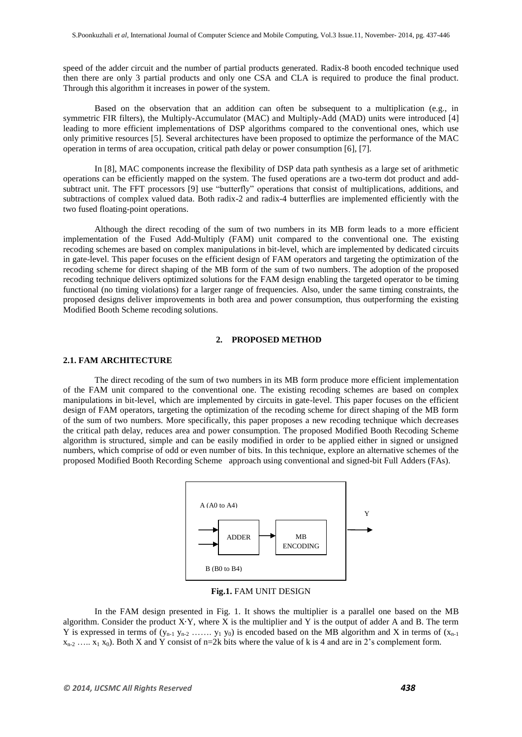speed of the adder circuit and the number of partial products generated. Radix-8 booth encoded technique used then there are only 3 partial products and only one CSA and CLA is required to produce the final product. Through this algorithm it increases in power of the system.

Based on the observation that an addition can often be subsequent to a multiplication (e.g., in symmetric FIR filters), the Multiply-Accumulator (MAC) and Multiply-Add (MAD) units were introduced [4] leading to more efficient implementations of DSP algorithms compared to the conventional ones, which use only primitive resources [5]. Several architectures have been proposed to optimize the performance of the MAC operation in terms of area occupation, critical path delay or power consumption [6], [7].

In [8], MAC components increase the flexibility of DSP data path synthesis as a large set of arithmetic operations can be efficiently mapped on the system. The fused operations are a two-term dot product and addsubtract unit. The FFT processors [9] use "butterfly" operations that consist of multiplications, additions, and subtractions of complex valued data. Both radix-2 and radix-4 butterflies are implemented efficiently with the two fused floating-point operations.

Although the direct recoding of the sum of two numbers in its MB form leads to a more efficient implementation of the Fused Add-Multiply (FAM) unit compared to the conventional one. The existing recoding schemes are based on complex manipulations in bit-level, which are implemented by dedicated circuits in gate-level. This paper focuses on the efficient design of FAM operators and targeting the optimization of the recoding scheme for direct shaping of the MB form of the sum of two numbers. The adoption of the proposed recoding technique delivers optimized solutions for the FAM design enabling the targeted operator to be timing functional (no timing violations) for a larger range of frequencies. Also, under the same timing constraints, the proposed designs deliver improvements in both area and power consumption, thus outperforming the existing Modified Booth Scheme recoding solutions.

#### **2. PROPOSED METHOD**

#### **2.1. FAM ARCHITECTURE**

The direct recoding of the sum of two numbers in its MB form produce more efficient implementation of the FAM unit compared to the conventional one. The existing recoding schemes are based on complex manipulations in bit-level, which are implemented by circuits in gate-level. This paper focuses on the efficient design of FAM operators, targeting the optimization of the recoding scheme for direct shaping of the MB form of the sum of two numbers. More specifically, this paper proposes a new recoding technique which decreases the critical path delay, reduces area and power consumption. The proposed Modified Booth Recoding Scheme algorithm is structured, simple and can be easily modified in order to be applied either in signed or unsigned numbers, which comprise of odd or even number of bits. In this technique, explore an alternative schemes of the proposed Modified Booth Recording Scheme approach using conventional and signed-bit Full Adders (FAs).





In the FAM design presented in Fig. 1. It shows the multiplier is a parallel one based on the MB algorithm. Consider the product  $X<sup>Y</sup>$ , where X is the multiplier and Y is the output of adder A and B. The term Y is expressed in terms of  $(y_{n-1} y_{n-2} \ldots y_1 y_0)$  is encoded based on the MB algorithm and X in terms of  $(x_{n-1}$  $x_{n-2}$  …..  $x_1$  x<sub>0</sub>). Both X and Y consist of n=2k bits where the value of k is 4 and are in 2's complement form.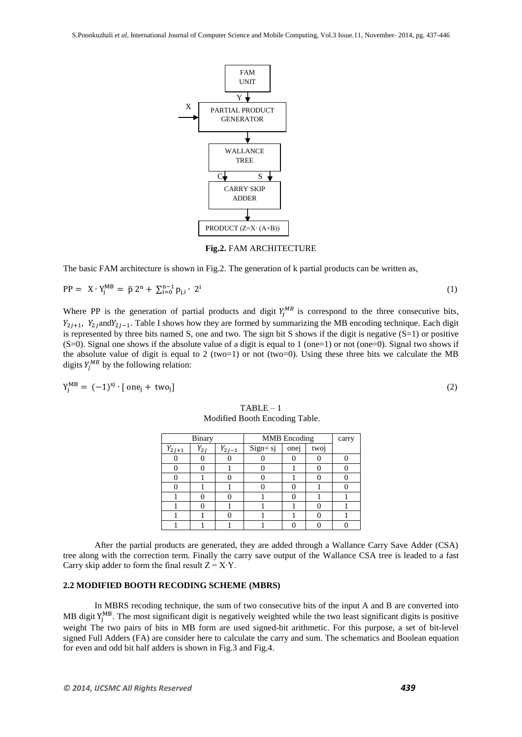FAM UNIT

PARTIAL PRODUCT GENERATOR

> WALLANCE TREE



tree along with the correction term. Finally the carry save output of the Wallance CSA tree is leaded to a fast Carry skip adder to form the final result  $Z = X \cdot Y$ .

After the partial products are generated, they are added through a Wallance Carry Save Adder (CSA)

## **2.2 MODIFIED BOOTH RECODING SCHEME (MBRS)**

In MBRS recoding technique, the sum of two consecutive bits of the input A and B are converted into MB digit  $Y_i^{MB}$ . The most significant digit is negatively weighted while the two least significant digits is positive weight The two pairs of bits in MB form are used signed-bit arithmetic. For this purpose, a set of bit-level signed Full Adders (FA) are consider here to calculate the carry and sum. The schematics and Boolean equation for even and odd bit half adders is shown in Fig.3 and Fig.4.

 $TABLE - 1$ Modified Booth Encoding Table.

# CARRY SKIP ADDER PRODUCT (Z=X∙ (A+B))

**Fig.2.** FAM ARCHITECTURE

The basic FAM architecture is shown in Fig.2. The generation of k partial products can be written as,

$$
PP = X \cdot Y_j^{MB} = \bar{p} \, 2^n + \sum_{i=0}^{n-1} p_{j,i} \cdot 2^i \tag{1}
$$

Y

c<sub>r</sub> S

X

Where PP is the generation of partial products and digit  $Y_i^{MB}$  is correspond to the three consecutive bits,  $Y_{2i+1}$ ,  $Y_{2i}$  and  $Y_{2i-1}$ . Table I shows how they are formed by summarizing the MB encoding technique. Each digit is represented by three bits named S, one and two. The sign bit S shows if the digit is negative  $(S=1)$  or positive  $(S=0)$ . Signal one shows if the absolute value of a digit is equal to 1 (one=1) or not (one=0). Signal two shows if the absolute value of digit is equal to 2 (two=1) or not (two=0). Using these three bits we calculate the MB digits  $Y_i^{MB}$  by the following relation:

$$
Y_i^{MB} = (-1)^{sj} \cdot [\text{ one}_i + \text{ two}_i]
$$

| <b>Binary</b> |          |            | <b>MMB</b> Encoding |      |      | carry |
|---------------|----------|------------|---------------------|------|------|-------|
| $Y_{2j+1}$    | $Y_{2i}$ | $Y_{2j-1}$ | Sign= sj            | onej | twoj |       |
|               |          |            |                     |      |      |       |
|               |          |            |                     |      |      |       |
|               |          |            |                     |      |      |       |
|               |          |            |                     |      |      |       |
|               |          |            |                     |      |      |       |
|               |          |            |                     |      |      |       |
|               |          |            |                     |      |      |       |
|               |          |            |                     |      |      |       |

 $\begin{pmatrix} 2 \end{pmatrix}$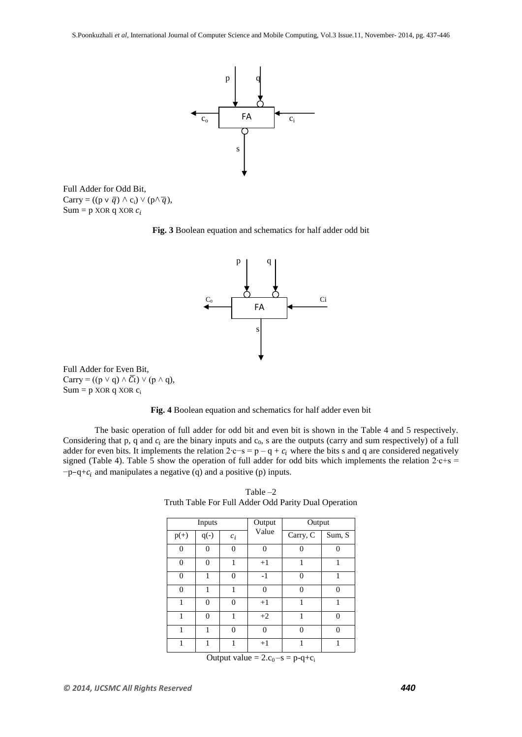

Full Adder for Odd Bit, Carry =  $((p \lor \overline{q}) \land c_i) \lor (p \land \overline{q}),$ Sum = p XOR q XOR  $c_i$ 





Full Adder for Even Bit, Carry =  $((p \lor q) \land \overline{C} \iota) \lor (p \land q)$ ,  $Sum = p XOR q XOR c_i$ 



The basic operation of full adder for odd bit and even bit is shown in the Table 4 and 5 respectively. Considering that p, q and  $c_i$  are the binary inputs and  $c_0$ , s are the outputs (carry and sum respectively) of a full adder for even bits. It implements the relation 2⋅c−s = p – q +  $c_i$  where the bits s and q are considered negatively signed (Table 4). Table 5 show the operation of full adder for odd bits which implements the relation 2⋅c+s =  $-p-q+c_i$  and manipulates a negative (q) and a positive (p) inputs.

| Inputs         |          |          | Output<br>Output |          |          |
|----------------|----------|----------|------------------|----------|----------|
| $p(+)$         | $q(-)$   | $c_i$    | Value            | Carry, C | Sum, S   |
| $\overline{0}$ | 0        | 0        | 0                | 0        | 0        |
| $\overline{0}$ | $\theta$ | 1        | $+1$             | 1        | 1        |
| $\overline{0}$ | 1        | $\theta$ | $-1$             | $\theta$ | 1        |
| $\overline{0}$ | 1        | 1        | 0                | $\Omega$ | $\theta$ |
| 1              | $\theta$ | $\theta$ | $+1$             | 1        | 1        |
| 1              | $\theta$ | 1        | $+2$             | 1        | $\theta$ |
| 1              | 1        | $\theta$ | $\Omega$         | $\Omega$ | $\theta$ |
| 1              | 1        | 1        | $+1$             | 1        | 1        |

Table –2 Truth Table For Full Adder Odd Parity Dual Operation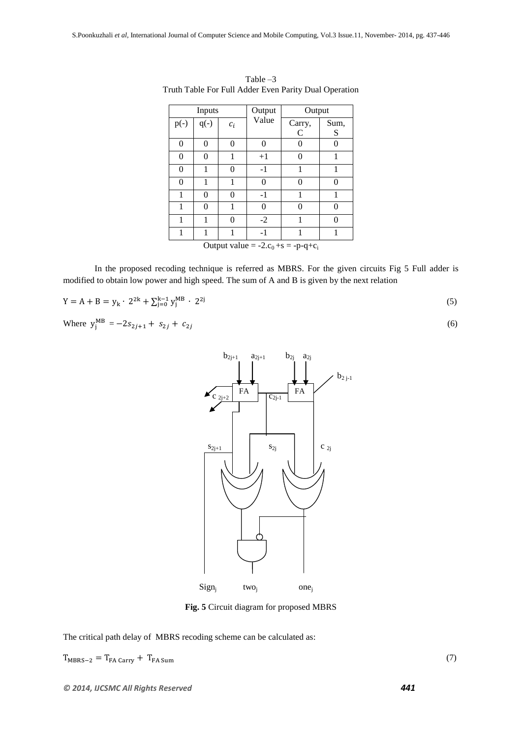|                                            | Inputs |          | Output   | Output |               |  |
|--------------------------------------------|--------|----------|----------|--------|---------------|--|
| $p(-)$                                     | $q(-)$ | $c_i$    | Value    | Carry, | Sum,          |  |
|                                            |        |          |          | C      | S             |  |
| $\theta$                                   | 0      | $\theta$ | $\Omega$ | 0      | 0             |  |
| $\theta$                                   | 0      | 1        | $+1$     | 0      | 1             |  |
| 0                                          |        | 0        | $-1$     |        |               |  |
| $\theta$                                   | 1      | 1        | 0        | 0      | 0             |  |
| 1                                          | 0      | 0        | $-1$     | 1      | 1             |  |
|                                            | 0      | 1        | 0        | 0      | 0             |  |
| 1                                          |        | 0        | $-2$     |        | $\mathcal{O}$ |  |
| 1                                          | 1      | 1        | $-1$     |        | 1             |  |
| Output value = $-2.c_0 + s = -p - q + c_i$ |        |          |          |        |               |  |

Table –3 Truth Table For Full Adder Even Parity Dual Operation

In the proposed recoding technique is referred as MBRS. For the given circuits Fig 5 Full adder is modified to obtain low power and high speed. The sum of A and B is given by the next relation

$$
Y = A + B = y_k \cdot 2^{2k} + \sum_{j=0}^{k-1} y_j^{MB} \cdot 2^{2j} \tag{5}
$$

Where 
$$
y_i^{MB} = -2s_{2j+1} + s_{2j} + c_{2j}
$$
 (6)



**Fig. 5** Circuit diagram for proposed MBRS

The critical path delay of MBRS recoding scheme can be calculated as:

 $T_{MBRS-2} = T_{FA \text{ carry}} + T_{FA \text{Sum}}$  (7)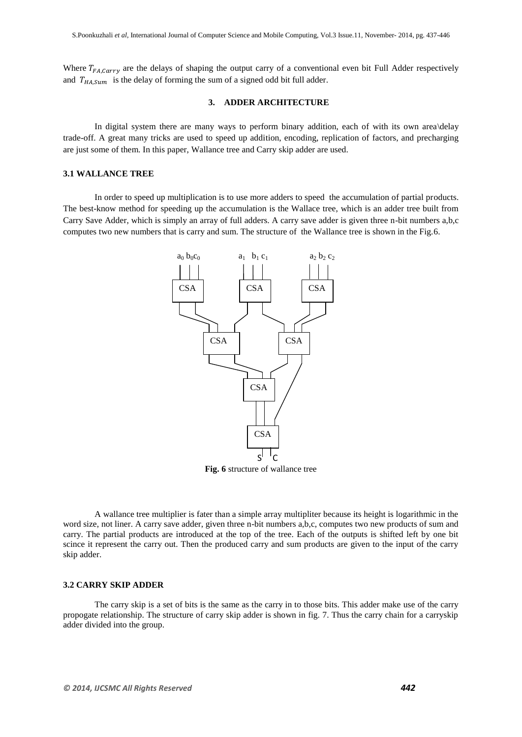Where  $T_{FA, Carr}$  are the delays of shaping the output carry of a conventional even bit Full Adder respectively and  $T_{HASum}$  is the delay of forming the sum of a signed odd bit full adder.

#### **3. ADDER ARCHITECTURE**

In digital system there are many ways to perform binary addition, each of with its own area\delay trade-off. A great many tricks are used to speed up addition, encoding, replication of factors, and precharging are just some of them. In this paper, Wallance tree and Carry skip adder are used.

#### **3.1 WALLANCE TREE**

In order to speed up multiplication is to use more adders to speed the accumulation of partial products. The best-know method for speeding up the accumulation is the Wallace tree, which is an adder tree built from Carry Save Adder, which is simply an array of full adders. A carry save adder is given three n-bit numbers a,b,c computes two new numbers that is carry and sum. The structure of the Wallance tree is shown in the Fig.6.



**Fig. 6** structure of wallance tree

A wallance tree multiplier is fater than a simple array multipliter because its height is logarithmic in the word size, not liner. A carry save adder, given three n-bit numbers a,b,c, computes two new products of sum and carry. The partial products are introduced at the top of the tree. Each of the outputs is shifted left by one bit scince it represent the carry out. Then the produced carry and sum products are given to the input of the carry skip adder.

#### **3.2 CARRY SKIP ADDER**

The carry skip is a set of bits is the same as the carry in to those bits. This adder make use of the carry propogate relationship. The structure of carry skip adder is shown in fig. 7. Thus the carry chain for a carryskip adder divided into the group.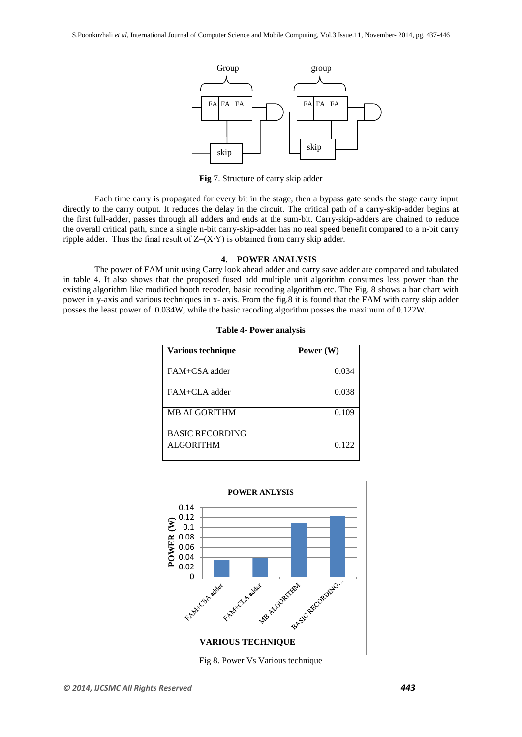

**Fig** 7. Structure of carry skip adder

Each time carry is propagated for every bit in the stage, then a bypass gate sends the stage carry input directly to the carry output. It reduces the delay in the circuit. The critical path of a carry-skip-adder begins at the first full-adder, passes through all adders and ends at the sum-bit. Carry-skip-adders are chained to reduce the overall critical path, since a single n-bit carry-skip-adder has no real speed benefit compared to a n-bit carry ripple adder. Thus the final result of  $Z=(X\cdot Y)$  is obtained from carry skip adder.

#### **4. POWER ANALYSIS**

The power of FAM unit using Carry look ahead adder and carry save adder are compared and tabulated in table 4. It also shows that the proposed fused add multiple unit algorithm consumes less power than the existing algorithm like modified booth recoder, basic recoding algorithm etc. The Fig. 8 shows a bar chart with power in y-axis and various techniques in x- axis. From the fig.8 it is found that the FAM with carry skip adder posses the least power of 0.034W, while the basic recoding algorithm posses the maximum of 0.122W.

| Various technique      | Power (W) |
|------------------------|-----------|
| FAM+CSA adder          | 0.034     |
| FAM+CLA adder          | 0.038     |
| <b>MB ALGORITHM</b>    | 0.109     |
| <b>BASIC RECORDING</b> |           |
| <b>ALGORITHM</b>       | 0.122     |

|  |  |  | <b>Table 4- Power analysis</b> |
|--|--|--|--------------------------------|
|--|--|--|--------------------------------|



Fig 8. Power Vs Various technique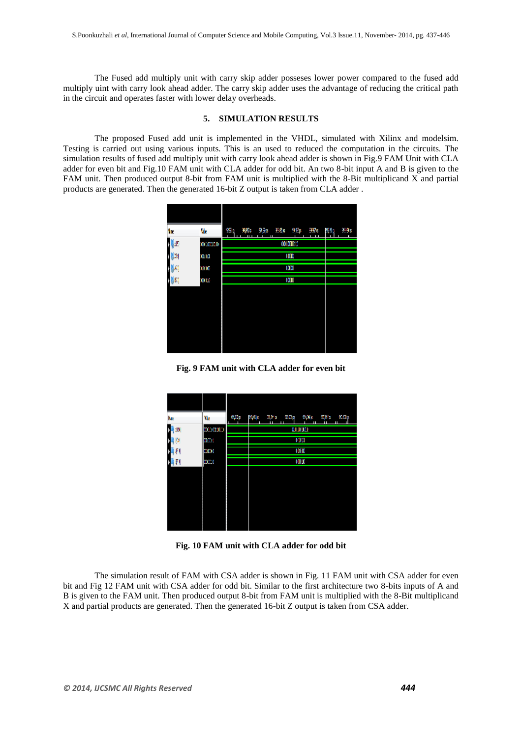The Fused add multiply unit with carry skip adder posseses lower power compared to the fused add multiply uint with carry look ahead adder. The carry skip adder uses the advantage of reducing the critical path in the circuit and operates faster with lower delay overheads.

#### **5. SIMULATION RESULTS**

The proposed Fused add unit is implemented in the VHDL, simulated with Xilinx and modelsim. Testing is carried out using various inputs. This is an used to reduced the computation in the circuits. The simulation results of fused add multiply unit with carry look ahead adder is shown in Fig.9 FAM Unit with CLA adder for even bit and Fig.10 FAM unit with CLA adder for odd bit. An two 8-bit input A and B is given to the FAM unit. Then produced output 8-bit from FAM unit is multiplied with the 8-Bit multiplicand X and partial products are generated. Then the generated 16-bit Z output is taken from CLA adder .



**Fig. 9 FAM unit with CLA adder for even bit**

| Nв | Yb.          | <b>T.V.</b><br>0.Op<br>23 Oct<br>HA 3<br>20Ap<br>ш<br>Ш | $200\,\mathrm{s}$<br>K Sa<br>Ш<br>Ш |
|----|--------------|---------------------------------------------------------|-------------------------------------|
| İШ | 10.00010     | AJLIANA LI                                              |                                     |
| М  | <b>FLOOR</b> | Œ                                                       |                                     |
| л  | EMENO,       | œ                                                       |                                     |
| T١ | KOME(        | COLO                                                    |                                     |
|    |              |                                                         |                                     |

**Fig. 10 FAM unit with CLA adder for odd bit**

The simulation result of FAM with CSA adder is shown in Fig. 11 FAM unit with CSA adder for even bit and Fig 12 FAM unit with CSA adder for odd bit. Similar to the first architecture two 8-bits inputs of A and B is given to the FAM unit. Then produced output 8-bit from FAM unit is multiplied with the 8-Bit multiplicand X and partial products are generated. Then the generated 16-bit Z output is taken from CSA adder.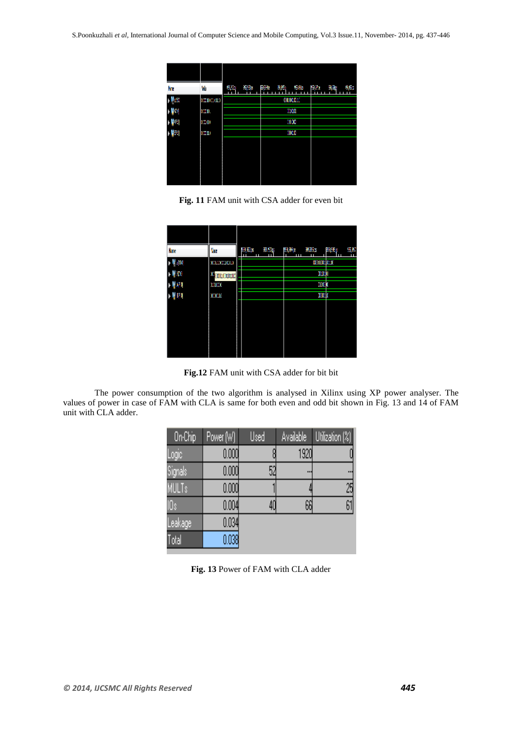| ŃП | Wu            | 15%)<br>626 | 副称<br>后段<br>9E.   | 821<br>98e<br>9,62 |
|----|---------------|-------------|-------------------|--------------------|
| Ш  | 0121012101123 |             | <b>COLORED LE</b> |                    |
| 41 | $y=y$         |             | XDXXI             |                    |
| ш  | )'L01         |             | 1000              |                    |
| ш  | ) 31          |             | m                 |                    |
|    |               |             |                   |                    |
|    |               |             |                   |                    |
|    |               |             |                   |                    |
|    |               |             |                   |                    |

**Fig. 11** FAM unit with CSA adder for even bit

| Nш     | Vк               | <b>BS</b><br>劉宏8<br>ш | 醫學<br>9,352<br>ш | BW)<br>S. |
|--------|------------------|-----------------------|------------------|-----------|
| M 4150 | ходождено        |                       | <b>monument</b>  |           |
| UТ     | <b>Charleson</b> |                       | XXI)I            |           |
| ۸U     | <b>DIGO</b>      |                       | ELDO K           |           |
| Ш      | XXX U            |                       | <b>xu</b> k      |           |
|        |                  |                       |                  |           |
|        |                  |                       |                  |           |
|        |                  |                       |                  |           |
|        |                  |                       |                  |           |

**Fig.12** FAM unit with CSA adder for bit bit

The power consumption of the two algorithm is analysed in Xilinx using XP power analyser. The values of power in case of FAM with CLA is same for both even and odd bit shown in Fig. 13 and 14 of FAM unit with CLA adder.

| On-Chip      | Power (W) | Used | Available | Utilization (%) |
|--------------|-----------|------|-----------|-----------------|
| Logic        | 0.000     |      | 1920      |                 |
| Signals      | 0.000     | 52   |           |                 |
| <b>MULTs</b> | 0.000     |      |           | 25              |
| IOs          | 0.004     | 40   | 66        | 61              |
| Leakage      | 0.034     |      |           |                 |
| Total        | 0.038     |      |           |                 |

**Fig. 13** Power of FAM with CLA adder